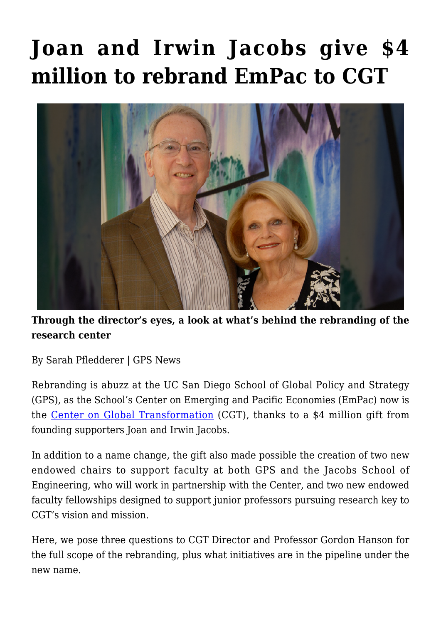## **[Joan and Irwin Jacobs give \\$4](https://gpsnews.ucsd.edu/joan-and-irwin-jacobs-give-4-million-to-rebrand-empac-to-cgt/) [million to rebrand EmPac to CGT](https://gpsnews.ucsd.edu/joan-and-irwin-jacobs-give-4-million-to-rebrand-empac-to-cgt/)**



## **Through the director's eyes, a look at what's behind the rebranding of the research center**

By Sarah Pfledderer | GPS News

Rebranding is abuzz at the UC San Diego School of Global Policy and Strategy (GPS), as the School's Center on Emerging and Pacific Economies (EmPac) now is the [Center on Global Transformation](http://empac.ucsd.edu/index.html) (CGT), thanks to a \$4 million gift from founding supporters Joan and Irwin Jacobs.

In addition to a name change, the gift also made possible the creation of two new endowed chairs to support faculty at both GPS and the Jacobs School of Engineering, who will work in partnership with the Center, and two new endowed faculty fellowships designed to support junior professors pursuing research key to CGT's vision and mission.

Here, we pose three questions to CGT Director and Professor Gordon Hanson for the full scope of the rebranding, plus what initiatives are in the pipeline under the new name.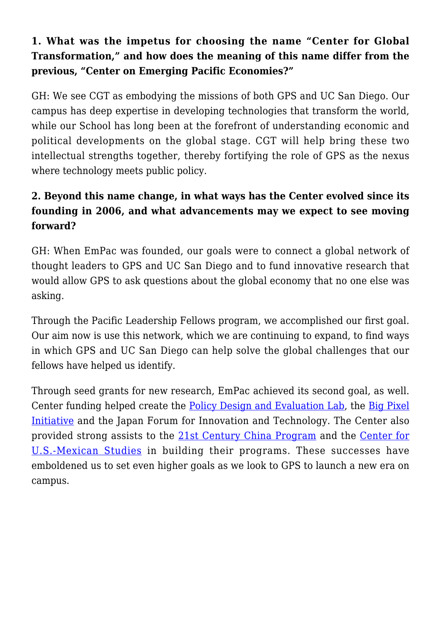## **1. What was the impetus for choosing the name "Center for Global Transformation," and how does the meaning of this name differ from the previous, "Center on Emerging Pacific Economies?"**

GH: We see CGT as embodying the missions of both GPS and UC San Diego. Our campus has deep expertise in developing technologies that transform the world, while our School has long been at the forefront of understanding economic and political developments on the global stage. CGT will help bring these two intellectual strengths together, thereby fortifying the role of GPS as the nexus where technology meets public policy.

## **2. Beyond this name change, in what ways has the Center evolved since its founding in 2006, and what advancements may we expect to see moving forward?**

GH: When EmPac was founded, our goals were to connect a global network of thought leaders to GPS and UC San Diego and to fund innovative research that would allow GPS to ask questions about the global economy that no one else was asking.

Through the Pacific Leadership Fellows program, we accomplished our first goal. Our aim now is use this network, which we are continuing to expand, to find ways in which GPS and UC San Diego can help solve the global challenges that our fellows have helped us identify.

Through seed grants for new research, EmPac achieved its second goal, as well. Center funding helped create the [Policy Design and Evaluation Lab](http://pdel.ucsd.edu/), the [Big Pixel](http://bigpixel.ucsd.edu/) [Initiative](http://bigpixel.ucsd.edu/) and the Japan Forum for Innovation and Technology. The Center also provided strong assists to the [21st Century China Program](http://china.ucsd.edu/) and the [Center for](http://usmex.ucsd.edu/) [U.S.-Mexican Studies](http://usmex.ucsd.edu/) in building their programs. These successes have emboldened us to set even higher goals as we look to GPS to launch a new era on campus.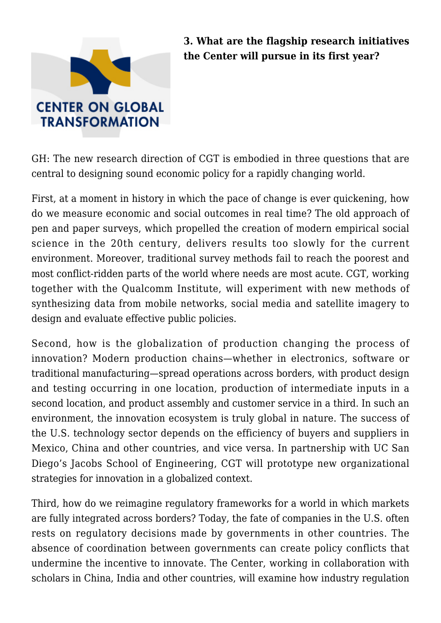

**3. What are the flagship research initiatives the Center will pursue in its first year?**

GH: The new research direction of CGT is embodied in three questions that are central to designing sound economic policy for a rapidly changing world.

First, at a moment in history in which the pace of change is ever quickening, how do we measure economic and social outcomes in real time? The old approach of pen and paper surveys, which propelled the creation of modern empirical social science in the 20th century, delivers results too slowly for the current environment. Moreover, traditional survey methods fail to reach the poorest and most conflict-ridden parts of the world where needs are most acute. CGT, working together with the Qualcomm Institute, will experiment with new methods of synthesizing data from mobile networks, social media and satellite imagery to design and evaluate effective public policies.

Second, how is the globalization of production changing the process of innovation? Modern production chains—whether in electronics, software or traditional manufacturing—spread operations across borders, with product design and testing occurring in one location, production of intermediate inputs in a second location, and product assembly and customer service in a third. In such an environment, the innovation ecosystem is truly global in nature. The success of the U.S. technology sector depends on the efficiency of buyers and suppliers in Mexico, China and other countries, and vice versa. In partnership with UC San Diego's Jacobs School of Engineering, CGT will prototype new organizational strategies for innovation in a globalized context.

Third, how do we reimagine regulatory frameworks for a world in which markets are fully integrated across borders? Today, the fate of companies in the U.S. often rests on regulatory decisions made by governments in other countries. The absence of coordination between governments can create policy conflicts that undermine the incentive to innovate. The Center, working in collaboration with scholars in China, India and other countries, will examine how industry regulation